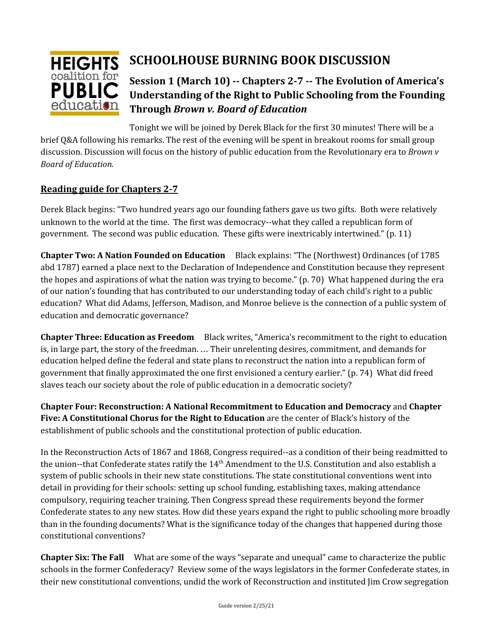

# **SCHOOLHOUSE BURNING BOOK DISCUSSION**

# **Session 1 (March 10) -- Chapters 2-7 -- The Evolution of America's Understanding of the Right to Public Schooling from the Founding Through** *Brown v. Board of Education*

Tonight we will be joined by Derek Black for the first 30 minutes! There will be a brief Q&A following his remarks. The rest of the evening will be spent in breakout rooms for small group discussion. Discussion will focus on the history of public education from the Revolutionary era to *Brown v Board of Education.*

## **Reading guide for Chapters 2-7**

Derek Black begins: "Two hundred years ago our founding fathers gave us two gifts. Both were relatively unknown to the world at the time. The first was democracy--what they called a republican form of government. The second was public education. These gifts were inextricably intertwined." (p. 11)

**Chapter Two: A Nation Founded on Education** Black explains: "The (Northwest) Ordinances (of 1785 abd 1787) earned a place next to the Declaration of Independence and Constitution because they represent the hopes and aspirations of what the nation was trying to become." (p. 70) What happened during the era of our nation's founding that has contributed to our understanding today of each child's right to a public education? What did Adams, Jefferson, Madison, and Monroe believe is the connection of a public system of education and democratic governance?

**Chapter Three: Education as Freedom** Black writes, "America's recommitment to the right to education is, in large part, the story of the freedman. … Their unrelenting desires, commitment, and demands for education helped define the federal and state plans to reconstruct the nation into a republican form of government that finally approximated the one first envisioned a century earlier." (p. 74) What did freed slaves teach our society about the role of public education in a democratic society?

**Chapter Four: Reconstruction: A National Recommitment to Education and Democracy** and **Chapter Five: A Constitutional Chorus for the Right to Education** are the center of Black's history of the establishment of public schools and the constitutional protection of public education.

In the Reconstruction Acts of 1867 and 1868, Congress required--as a condition of their being readmitted to the union--that Confederate states ratify the 14<sup>th</sup> Amendment to the U.S. Constitution and also establish a system of public schools in their new state constitutions. The state constitutional conventions went into detail in providing for their schools: setting up school funding, establishing taxes, making attendance compulsory, requiring teacher training. Then Congress spread these requirements beyond the former Confederate states to any new states. How did these years expand the right to public schooling more broadly than in the founding documents? What is the significance today of the changes that happened during those constitutional conventions?

**Chapter Six: The Fall** What are some of the ways "separate and unequal" came to characterize the public schools in the former Confederacy? Review some of the ways legislators in the former Confederate states, in their new constitutional conventions, undid the work of Reconstruction and instituted Jim Crow segregation